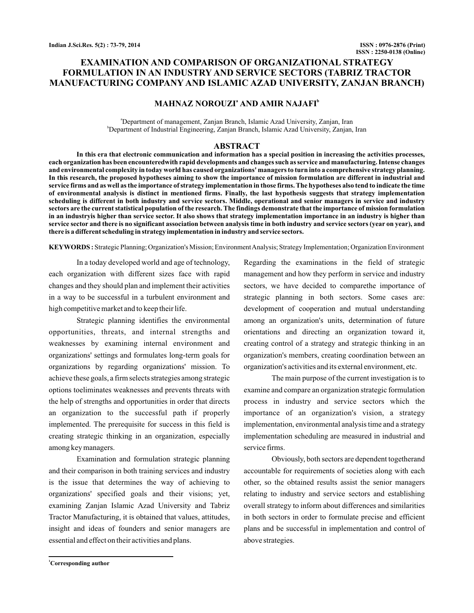# **EXAMINATION AND COMPARISON OF ORGANIZATIONAL STRATEGY FORMULATION IN AN INDUSTRY AND SERVICE SECTORS (TABRIZ TRACTOR MANUFACTURING COMPANY AND ISLAMIC AZAD UNIVERSITY, ZANJAN BRANCH)**

# **MAHNAZ NOROUZI<sup>ª</sup> AND AMIR NAJAFI<sup>b</sup>**

a Department of management, Zanjan Branch, Islamic Azad University, Zanjan, Iran b Department of Industrial Engineering, Zanjan Branch, Islamic Azad University, Zanjan, Iran

## **ABSTRACT**

**In this era that electronic communication and information has a special position in increasing the activities processes, each organization has been encounteredwith rapid developments and changes such as service and manufacturing. Intense changes and environmental complexity in today world has caused organizations' managers to turn into a comprehensive strategy planning. In this research, the proposed hypotheses aiming to show the importance of mission formulation are different in industrial and service firms and as well as the importance of strategy implementation in those firms. The hypotheses also tend to indicate the time of environmental analysis is distinct in mentioned firms. Finally, the last hypothesis suggests that strategy implementation scheduling is different in both industry and service sectors. Middle, operational and senior managers in service and industry sectors are the current statistical population of the research. The findings demonstrate that the importance of mission formulation in an industryis higher than service sector. It also shows that strategy implementation importance in an industry is higher than service sector and there is no significant association between analysis time in both industry and service sectors (year on year), and there is a different scheduling in strategy implementation in industry and service sectors.**

KEYWORDS: Strategic Planning; Organization's Mission; Environment Analysis; Strategy Implementation; Organization Environment

In a today developed world and age of technology, each organization with different sizes face with rapid changes and they should plan and implement their activities in a way to be successful in a turbulent environment and high competitive market and to keep their life.

Strategic planning identifies the environmental opportunities, threats, and internal strengths and weaknesses by examining internal environment and organizations' settings and formulates long-term goals for organizations by regarding organizations' mission. To achieve these goals, a firm selects strategies among strategic options toeliminates weaknesses and prevents threats with the help of strengths and opportunities in order that directs an organization to the successful path if properly implemented. The prerequisite for success in this field is creating strategic thinking in an organization, especially among key managers.

Examination and formulation strategic planning and their comparison in both training services and industry is the issue that determines the way of achieving to organizations' specified goals and their visions; yet, examining Zanjan Islamic Azad University and Tabriz Tractor Manufacturing, it is obtained that values, attitudes, insight and ideas of founders and senior managers are essential and effect on their activities and plans.

Regarding the examinations in the field of strategic management and how they perform in service and industry sectors, we have decided to comparethe importance of strategic planning in both sectors. Some cases are: development of cooperation and mutual understanding among an organization's units, determination of future orientations and directing an organization toward it, creating control of a strategy and strategic thinking in an organization's members, creating coordination between an organization's activities and its external environment, etc.

The main purpose of the current investigation is to examine and compare an organization strategic formulation process in industry and service sectors which the importance of an organization's vision, a strategy implementation, environmental analysis time and a strategy implementation scheduling are measured in industrial and service firms.

Obviously, both sectors are dependent togetherand accountable for requirements of societies along with each other, so the obtained results assist the senior managers relating to industry and service sectors and establishing overall strategy to inform about differences and similarities in both sectors in order to formulate precise and efficient plans and be successful in implementation and control of above strategies.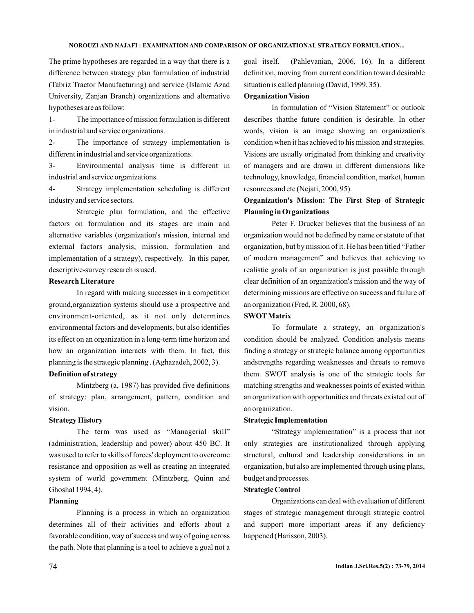## **NOROUZI AND NAJAFI : EXAMINATION AND COMPARISON OF ORGANIZATIONAL STRATEGY FORMULATION...**

The prime hypotheses are regarded in a way that there is a difference between strategy plan formulation of industrial (Tabriz Tractor Manufacturing) and service (Islamic Azad University, Zanjan Branch) organizations and alternative hypotheses are as follow:

1- The importance of mission formulation is different in industrial and service organizations.

2- The importance of strategy implementation is different in industrial and service organizations.

3- Environmental analysis time is different in industrial and service organizations.

4- Strategy implementation scheduling is different industry and service sectors.

Strategic plan formulation, and the effective factors on formulation and its stages are main and alternative variables (organization's mission, internal and external factors analysis, mission, formulation and implementation of a strategy), respectively. In this paper, descriptive-survey research is used.

## **Research Literature**

In regard with making successes in a competition ground,organization systems should use a prospective and environment-oriented, as it not only determines environmental factors and developments, but also identifies its effect on an organization in a long-term time horizon and how an organization interacts with them. In fact, this planning is the strategic planning . (Aghazadeh, 2002, 3).

## **Definition of strategy**

Mintzberg (a, 1987) has provided five definitions of strategy: plan, arrangement, pattern, condition and vision.

## **Strategy History**

The term was used as "Managerial skill" (administration, leadership and power) about 450 BC. It was used to refer to skills of forces' deployment to overcome resistance and opposition as well as creating an integrated system of world government (Mintzberg, Quinn and Ghoshal 1994, 4).

## **Planning**

Planning is a process in which an organization determines all of their activities and efforts about a favorable condition, way of success and way of going across the path. Note that planning is a tool to achieve a goal not a goal itself. (Pahlevanian, 2006, 16). In a different definition, moving from current condition toward desirable situation is called planning (David, 1999, 35).

## **Organization Vision**

In formulation of "Vision Statement" or outlook describes thatthe future condition is desirable. In other words, vision is an image showing an organization's condition when it has achieved to his mission and strategies. Visions are usually originated from thinking and creativity of managers and are drawn in different dimensions like technology, knowledge, financial condition, market, human resources and etc (Nejati, 2000, 95).

# **Organization's Mission: The First Step of Strategic Planning in Organizations**

Peter F. Drucker believes that the business of an organization would not be defined by name or statute of that organization, but by mission of it. He has been titled "Father of modern management" and believes that achieving to realistic goals of an organization is just possible through clear definition of an organization's mission and the way of determining missions are effective on success and failure of an organization (Fred, R. 2000, 68).

## **SWOT Matrix**

To formulate a strategy, an organization's condition should be analyzed. Condition analysis means finding a strategy or strategic balance among opportunities andstrengths regarding weaknesses and threats to remove them. SWOT analysis is one of the strategic tools for matching strengths and weaknesses points of existed within an organization with opportunities and threats existed out of an organization.

### **Strategic Implementation**

"Strategy implementation" is a process that not only strategies are institutionalized through applying structural, cultural and leadership considerations in an organization, but also are implemented through using plans, budget and processes.

### **Strategic Control**

Organizations can deal with evaluation of different stages of strategic management through strategic control and support more important areas if any deficiency happened (Harisson, 2003).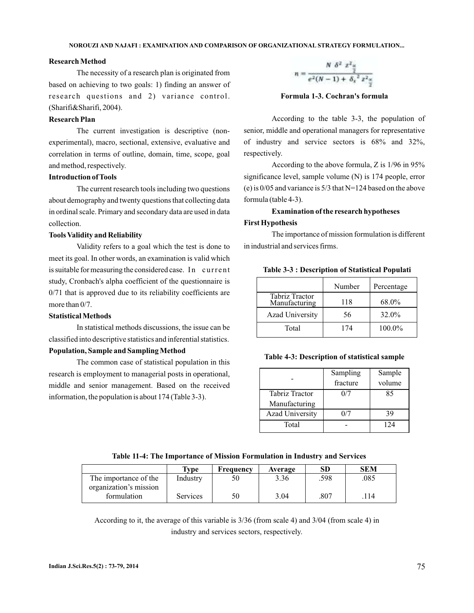### **Research Method**

The necessity of a research plan is originated from based on achieving to two goals: 1) finding an answer of research questions and 2) variance control. (Sharifi&Sharifi, 2004).

## **Research Plan**

The current investigation is descriptive (nonexperimental), macro, sectional, extensive, evaluative and correlation in terms of outline, domain, time, scope, goal and method, respectively.

## **Introduction of Tools**

The current research tools including two questions about demography and twenty questions that collecting data in ordinal scale. Primary and secondary data are used in data collection.

### **Tools Validity and Reliability**

Validity refers to a goal which the test is done to meet its goal. In other words, an examination is valid which is suitable for measuring the considered case. In current study, Cronbach's alpha coefficient of the questionnaire is 0/71 that is approved due to its reliability coefficients are more than 0/7.

### **Statistical Methods**

In statistical methods discussions, the issue can be classified into descriptive statistics and inferential statistics.

## **Population, Sample and Sampling Method**

The common case of statistical population in this research is employment to managerial posts in operational, middle and senior management. Based on the received information, the population is about 174 (Table 3-3).



**Formula 1-3. Cochran's formula**

According to the table 3-3, the population of senior, middle and operational managers for representative of industry and service sectors is 68% and 32%, respectively.

According to the above formula, Z is 1/96 in 95% significance level, sample volume (N) is 174 people, error (e) is 0/05 and variance is 5/3 that N=124 based on the above formula (table 4-3).

# **Examination of the research hypotheses**

## **First Hypothesis**

The importance of mission formulation is different in industrial and services firms.

|  |  | Table 3-3 : Description of Statistical Populati |  |
|--|--|-------------------------------------------------|--|
|--|--|-------------------------------------------------|--|

|                                 | Number | Percentage |
|---------------------------------|--------|------------|
| Tabriz Tractor<br>Manufacturing | 118    | 68.0%      |
| <b>Azad University</b>          | 56     | 32.0%      |
| Total                           | 174    | 100.0%     |

### **Table 4-3: Description of statistical sample**

|                        | Sampling<br>fracture | Sample<br>volume |
|------------------------|----------------------|------------------|
| <b>Tabriz Tractor</b>  | 0/7                  | 85               |
| Manufacturing          |                      |                  |
| <b>Azad University</b> | 0/7                  | 39               |
| Total                  |                      | 124              |

### **Table 11-4: The Importance of Mission Formulation in Industry and Services**

|                        | Type            | Freauencv | Average | SD   | SEM  |
|------------------------|-----------------|-----------|---------|------|------|
| The importance of the  | Industry        | 50        | 3.36    | .598 | .085 |
| organization's mission |                 |           |         |      |      |
| formulation            | <b>Services</b> | 50        | 3.04    | .807 | 114  |

According to it, the average of this variable is 3/36 (from scale 4) and 3/04 (from scale 4) in industry and services sectors, respectively.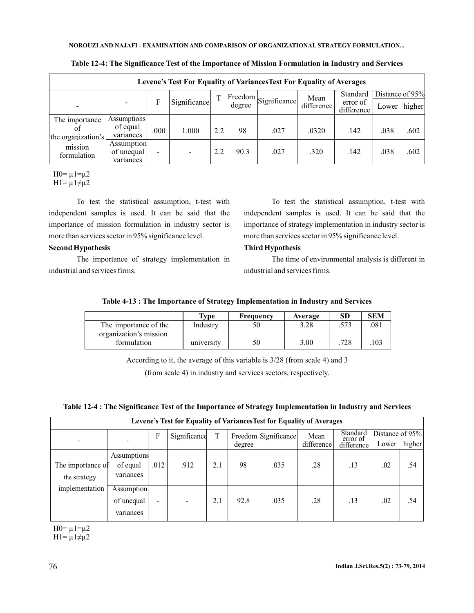| Levene's Test For Equality of Variances Test For Equality of Averages |                                       |       |              |     |         |              |            |                        |                 |        |
|-----------------------------------------------------------------------|---------------------------------------|-------|--------------|-----|---------|--------------|------------|------------------------|-----------------|--------|
|                                                                       |                                       |       |              |     | Freedom |              | Mean       | Standard               | Distance of 95% |        |
|                                                                       |                                       | F     | Significance |     | degree  | Significance | difference | error of<br>difference | Lower           | higher |
| The importance                                                        | <b>Assumptions</b>                    |       |              |     |         |              |            |                        |                 |        |
| ΩŤ<br>the organization's                                              | of equal<br>variances                 | .000. | 1.000        | 2.2 | 98      | .027         | .0320      | .142                   | .038            | .602   |
| mission<br>formulation                                                | Assumption<br>of unequal<br>variances |       |              | 2.2 | 90.3    | .027         | .320       | .142                   | .038            | .602   |

**Table 12-4: The Significance Test of the Importance of Mission Formulation in Industry and Services**

H0=  $\mu$ 1= $\mu$ 2  $H1 = \mu 1 \neq \mu 2$ 

To test the statistical assumption, t-test with independent samples is used. It can be said that the importance of mission formulation in industry sector is more than services sector in 95% significance level.

## **Second Hypothesis**

The importance of strategy implementation in industrial and services firms.

To test the statistical assumption, t-test with independent samples is used. It can be said that the importance of strategy implementation in industry sector is more than services sector in 95% significance level.

# **Third Hypothesis**

The time of environmental analysis is different in industrial and services firms.

# **Table 4-13 : The Importance of Strategy Implementation in Industry and Services**

|                        | Type       | <b>Frequency</b> | Average | SD   | <b>SEM</b> |
|------------------------|------------|------------------|---------|------|------------|
| The importance of the  | Industry   | 50               | 3.28    | .573 | .081       |
| organization's mission |            |                  |         |      |            |
| formulation            | university | 50               | 3.00    | .728 | .103       |

According to it, the average of this variable is 3/28 (from scale 4) and 3

(from scale 4) in industry and services sectors, respectively.

**Table 12-4 : The Significance Test of the Importance of Strategy Implementation in Industry and Services**

|                                   | Levene's Test for Equality of Variances Test for Equality of Averages |                          |              |     |        |                      |            |                      |                 |        |
|-----------------------------------|-----------------------------------------------------------------------|--------------------------|--------------|-----|--------|----------------------|------------|----------------------|-----------------|--------|
|                                   |                                                                       | F                        | Significance | T   |        | Freedom Significance | Mean       | Standard<br>error of | Distance of 95% |        |
|                                   |                                                                       |                          |              |     | degree |                      | difference | difference           | Lower           | higher |
| The importance of<br>the strategy | Assumptions<br>of equal<br>variances                                  | .012                     | .912         | 2.1 | 98     | .035                 | .28        | .13                  | .02             | .54    |
| implementation                    | Assumption<br>of unequal<br>variances                                 | $\overline{\phantom{a}}$ |              | 2.1 | 92.8   | .035                 | .28        | .13                  | .02             | .54    |

H0=  $\mu$ 1= $\mu$ 2 H1=  $\mu$ 1 $\neq$  $\mu$ 2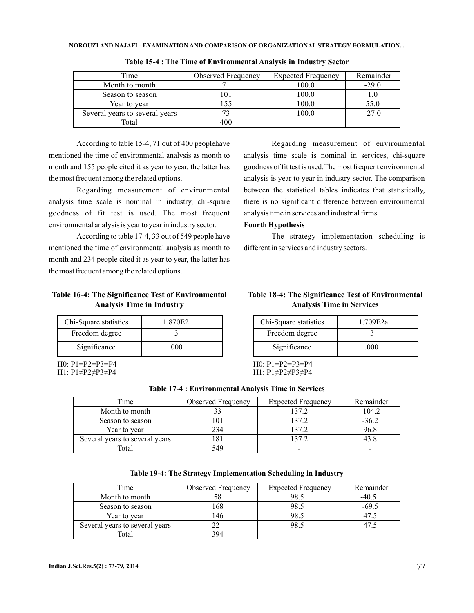| Time                           | <b>Observed Frequency</b> | <b>Expected Frequency</b> | Remainder |
|--------------------------------|---------------------------|---------------------------|-----------|
| Month to month                 |                           | 100.0                     | $-29.0$   |
| Season to season               |                           | 100.0                     |           |
| Year to year                   |                           | 100.0                     | 55.0      |
| Several years to several years |                           | 100.0                     | $-27.0$   |
| Total                          | 40C                       |                           |           |

**Table 15-4 : The Time of Environmental Analysis in Industry Sector**

According to table 15-4, 71 out of 400 peoplehave mentioned the time of environmental analysis as month to month and 155 people cited it as year to year, the latter has the most frequent among the related options.

Regarding measurement of environmental analysis time scale is nominal in industry, chi-square goodness of fit test is used. The most frequent environmental analysis is year to year in industry sector.

According to table 17-4, 33 out of 549 people have mentioned the time of environmental analysis as month to month and 234 people cited it as year to year, the latter has the most frequent among the related options.

# **Table 16-4: The Significance Test of Environmental Analysis Time in Industry**

| Chi-Square statistics | 1.870E2 |
|-----------------------|---------|
| Freedom degree        |         |
| Significance          | .000    |

H0: P1=P2=P3=P4 H1: P1≠P2≠P3≠P4

Regarding measurement of environmental analysis time scale is nominal in services, chi-square goodness of fit test is used.The most frequent environmental analysis is year to year in industry sector. The comparison between the statistical tables indicates that statistically, there is no significant difference between environmental analysis time in services and industrial firms.

### **Fourth Hypothesis**

The strategy implementation scheduling is different in services and industry sectors.

# **Table 18-4: The Significance Test of Environmental Analysis Time in Services**

| Chi-Square statistics | 1.709E2a |
|-----------------------|----------|
| Freedom degree        |          |
| Significance          | .000     |

H0: P1=P2=P3=P4 H1: P1≠P2≠P3≠P4

| Table 17-4 : Environmental Analysis Time in Services |  |
|------------------------------------------------------|--|
|------------------------------------------------------|--|

| Time                           | <b>Observed Frequency</b> | <b>Expected Frequency</b> | Remainder |
|--------------------------------|---------------------------|---------------------------|-----------|
| Month to month                 |                           | 137.2                     | $-104.2$  |
| Season to season               |                           | 137.2                     | $-36.2$   |
| Year to year                   | 234                       | 137.2                     | 96.8      |
| Several years to several years |                           | 137.2                     |           |
| Total                          | 549                       | -                         |           |

| Table 19-4: The Strategy Implementation Scheduling in Industry |  |  |  |
|----------------------------------------------------------------|--|--|--|
|----------------------------------------------------------------|--|--|--|

| <b>Time</b>                    | <b>Observed Frequency</b> | <b>Expected Frequency</b> | Remainder |
|--------------------------------|---------------------------|---------------------------|-----------|
| Month to month                 |                           | 98.5                      | $-40.5$   |
| Season to season               | -68                       | 98.5                      | -69.5     |
| Year to year                   |                           | 98.5                      |           |
| Several years to several years |                           | 98.5                      |           |
| Total                          | 394                       |                           |           |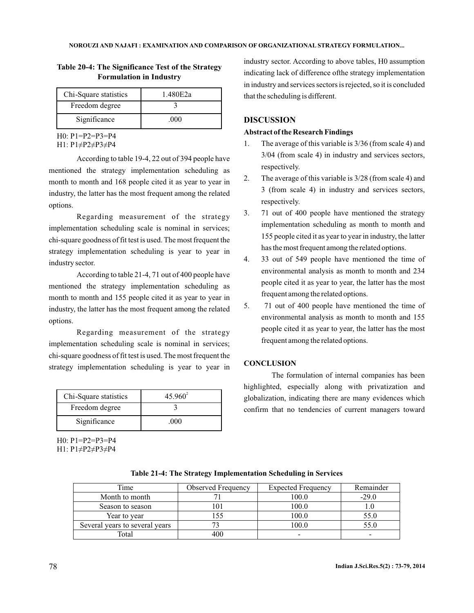| Chi-Square statistics | 1.480E2a |
|-----------------------|----------|
| Freedom degree        |          |
| Significance          | നവ       |

# **Table 20-4: The Significance Test of the Strategy Formulation in Industry**

H0: P1=P2=P3=P4

H1: P1≠P2≠P3≠P4

According to table 19-4, 22 out of 394 people have mentioned the strategy implementation scheduling as month to month and 168 people cited it as year to year in industry, the latter has the most frequent among the related options.

Regarding measurement of the strategy implementation scheduling scale is nominal in services; chi-square goodness of fit test is used. The most frequent the strategy implementation scheduling is year to year in industry sector.

According to table 21-4, 71 out of 400 people have mentioned the strategy implementation scheduling as month to month and 155 people cited it as year to year in industry, the latter has the most frequent among the related options.

Regarding measurement of the strategy implementation scheduling scale is nominal in services; chi-square goodness of fit test is used. The most frequent the strategy implementation scheduling is year to year in

| Chi-Square statistics | $45.960^{2}$ |
|-----------------------|--------------|
| Freedom degree        |              |
| Significance          | 000          |

H0: P1=P2=P3=P4 H1: P1≠P2≠P3≠P4 industry sector. According to above tables, H0 assumption indicating lack of difference ofthe strategy implementation in industry and services sectors is rejected, so it is concluded that the scheduling is different.

## **DISCUSSION**

### **Abstract of the Research Findings**

- 1. The average of this variable is 3/36 (from scale 4) and 3/04 (from scale 4) in industry and services sectors, respectively.
- 2. The average of this variable is 3/28 (from scale 4) and 3 (from scale 4) in industry and services sectors, respectively.
- 3. 71 out of 400 people have mentioned the strategy implementation scheduling as month to month and 155 people cited it as year to year in industry, the latter has the most frequent among the related options.
- 4. 33 out of 549 people have mentioned the time of environmental analysis as month to month and 234 people cited it as year to year, the latter has the most frequent among the related options.
- 5. 71 out of 400 people have mentioned the time of environmental analysis as month to month and 155 people cited it as year to year, the latter has the most frequent among the related options.

## **CONCLUSION**

The formulation of internal companies has been highlighted, especially along with privatization and globalization, indicating there are many evidences which confirm that no tendencies of current managers toward

| Time                           | Observed Frequency | <b>Expected Frequency</b> | Remainder |
|--------------------------------|--------------------|---------------------------|-----------|
| Month to month                 |                    | 100.0                     | $-29.0$   |
| Season to season               |                    | 100.0                     |           |
| Year to year                   |                    | 100.0                     | 55.0      |
| Several years to several years |                    | 100.0                     | 55.0      |
| Total                          |                    |                           |           |

**Table 21-4: The Strategy Implementation Scheduling in Services**